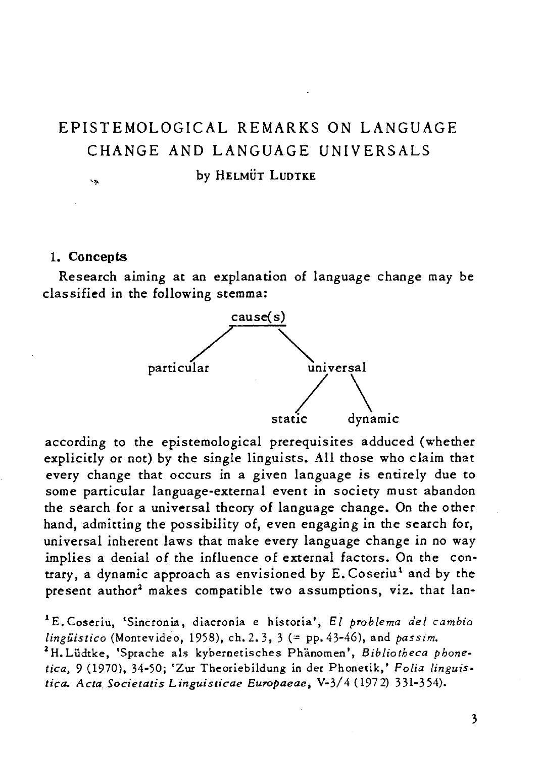# EPISTEMOLOGICAL REMARKS ON LANGUAGE CHANGE AND LANGUAGE UNIVERSALS by HELMÜT LUDTKE

#### 1. Concepts

 $\sim$ 

Research aiming at an explanation of language change may be classified in the following stemma:



according to the epistemological prerequisites adduced (whether explicitly or not) by the single linguists. All those who claim that every change that occurs in a given language is entirely due to some particular language-external event in society must abandon the search for a universal theory of language change. On the other hand, admitting the possibility of, even engaging in the search for, universal inherent laws that make every language change in no way implies a denial of the influence of external factors. On the contrary, a dynamic approach as envisioned by E. Coseriu<sup>1</sup> and by the present author<sup>2</sup> makes compatible two assumptions, viz. that lan-

<sup>1</sup> E. Coseriu, 'Sincronia, diacronia e historia', *El problema del cambio lingiiistico* (Montevideo, 1958), ch. 2. 3, 3 (= pp. 43-46), and *passim.*  l H. Lildtke, 'Sprache als kybernetisches Phanomen', *B ibliotheca phonetica.* 9 (1970),34-50; 'Zur Theoriebildung *in* der Phonetik,' *Folia linguistica. Acta Societatis* L *inguisticae Europaeae,* V-3/4 (1972) 331-354).

3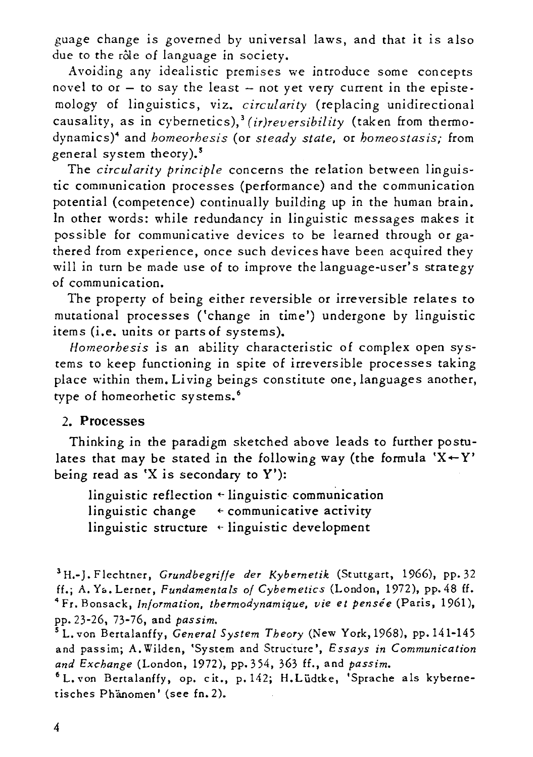guage change is governed by universal laws, and that it is also due to the rôle of language in society.

Avoiding any idealistic premises we introduce some concepts novel to  $or - to say the least - not yet very current in the episte$ *mology* of linguistics, viz. *circularity* (replacing unidirectional causality, as in cybernetics),<sup>3</sup> (ir)reversibility (taken from thermodynamics)4 and *homeorhesis* (or *steady state.* or *homeostasis;* from general system theory).5

The *circularity principle* concerns the relation between linguistic communication processes (performance) and the communication potential (competence) continually building up in the human brain. In other words: while redundancy in linguistic messages makes it possible for communicative devices to be learned through or gathered from experience, once such *devices* have been acquired they will in turn be made use of to improve the language-user's strategy of communication.

The property of being either reversible or irreversible relates to mutational processes ('change in time') undergone by linguistic items *(i.e.* units or parts of systems).

*Homeorhesis is* an ability characteristic of complex open systems to keep functioning in *spite* of irreversible processes taking place within them. Li ving beings constitute one, languages another, type of homeorhetic systems. <sup>6</sup>

### 2. Processes

Thinking in the paradigm sketched above leads to further postulates that may be stated in the following way (the formula 'X $\leftarrow$ Y' being read as 'X is secondary to  $Y$ ):

linguistic reflection  $\leftarrow$  linguistic communication linguistic change  $\leftarrow$  communicative activity linguistic structure  $\leftarrow$  linguistic development

3 H.-J. F lechtner, *Grundbegriffe der Kybernetik* (Stuttgart, 1966), pp.32 ff.; A. Y<sub>2</sub>. Lerner, *Fundamentals of Cybernetics* (London, 1972), pp. 48 ff. 4 Fr. Bonsack, *Information. thermodynamique. vie et pensee* (Paris, 1961), pp. 23-26, 73-76, and *pas sim.* 

sL.von Bertalanffy, *General System Theory* (New York,1968), pp.141-145 and passim; A. Wilden, 'System and Structure', *Essays in Communication and Exchange* (London, 1972), pp. 354, 363 H., and *passim.* 

<sup>6</sup> L. von Bertalanffy, op. cit., p. 142; H. Lüdtke, 'Sprache als kybernetisches Phanomen' (see fn.2).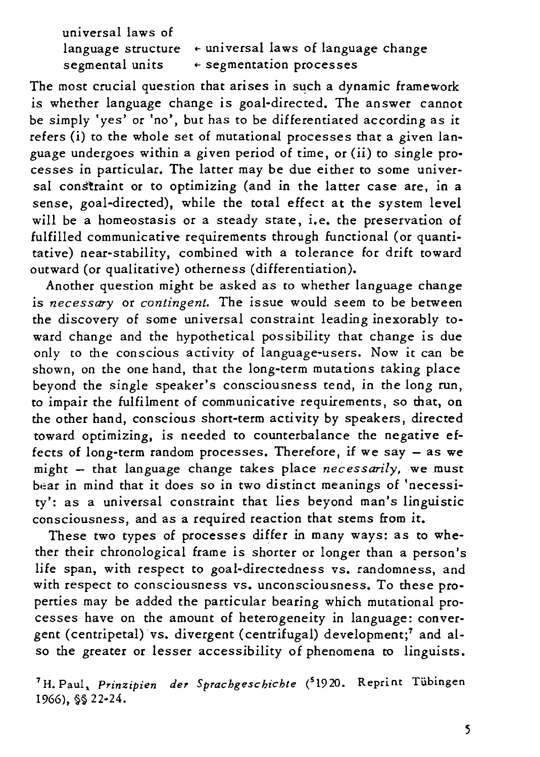| universal laws of |                                                                 |
|-------------------|-----------------------------------------------------------------|
|                   | language structure $\epsilon$ universal laws of language change |
| segmental units   | $\epsilon$ segmentation processes                               |

The most crucial question that arises in such a dynamic framework is whether language change is goal-directed. The answer cannot be simply 'yes' or 'no', but has to be differentiated according as it refers (i) to the whole set of mutational processes that a given language undergoes within a given period of time, or (ii) to single processes in particular. The latter may be due either to some universal constraint or to optimizing (and in the latter case are, in a sense, goal-directed), while the total effect at the system level will be a homeostasis or a steady state, i.e. the preservation of fulfilled communicative requirements through functional (or quantitative) near-stability, combined with a tolerance for drift toward outward (or qualitative) otherness (differentiation).

Another question might be asked as to whether language change is *necessary* or *contingent.* The issue would seem to be between the discovery of some universal constraint leading inexorably toward change and the hypothetical possibility that change *is* due only to the conscious activity of language-users. Now it can be shown, on the one hand, that the long-term mutations taking place beyond the single speaker's consciousness tend, in the long run, to impair the fulfilment of communicative requirements, so that, on the other hand, conscious short-term activity by speakers, directed toward optimizing, is needed to counterbalance the negative effects of long-term random processes. Therefore, if we say  $-$  as we might - that language change takes place *necessarily*, we must bear in mind that it does so in two distinct meanings of 'necessity': as a universal constraint that lies beyond man's linguistic consciousness, and as a required reaction that stems from it.

These two types of processes differ in many ways: as to whether their chronological frame is shorter or longer than a person's life span, with respect to goal-directedness vs. randomness, and with respect to consciousness vs. unconsciousness. To these properties may be added the particular bearing which mutational processes have on the amount of heterogeneity in language: convergent (centripetal) vs. divergent (centrifugal) development;' and also the greater or lesser accessibility of phenomena to linguists.

'H. Paul. *Prinzipien der Sprachgeschichte* (51920. Reprint Tiibingen 1966), §§ 22-24.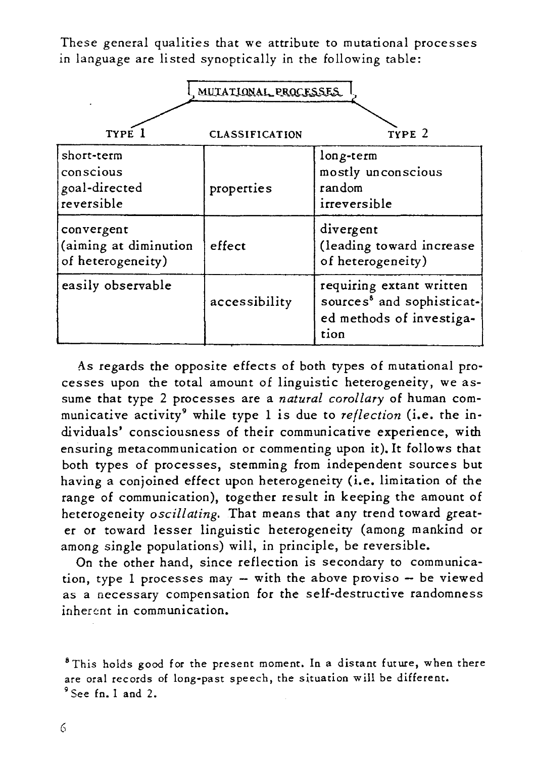These general qualities that we attribute to mutational processes in language are listed synoptically in the following table:

| MUTATIONAL PROCESSES                                     |                       |                                                                                                       |  |  |
|----------------------------------------------------------|-----------------------|-------------------------------------------------------------------------------------------------------|--|--|
| TYPE 1                                                   | <b>CLASSIFICATION</b> | TYPE <sub>2</sub>                                                                                     |  |  |
| short-term<br>conscious<br>goal-directed<br>reversible   | properties            | long-term<br>mostly unconscious<br>random<br>irreversible                                             |  |  |
| convergent<br>(aiming at diminution<br>of heterogeneity) | effect                | divergent<br>(leading toward increase<br>of heterogeneity)                                            |  |  |
| easily observable                                        | accessibility         | requiring extant written<br>sources <sup>8</sup> and sophisticat-<br>ed methods of investiga-<br>tion |  |  |

As regards the opposite effects of both types of mutational processes upon the total amount of linguistic heterogeneity, we assume that type 2 processes are a *natural corollary* of human communicative activity9 while type 1 is due to *reflection (i.e.* the individuals' consciousness of their communicative experience, with ensuring metacommunication or commenting upon it). It follows that both types of processes, stemming from independent sources but having a conjoined effect upon heterogeneity (i.e. limitation of the range of communication), together result in keeping the amount of heterogeneity *oscillating.* That means that any trend toward greater or toward lesser linguistic heterogeneity (among mankind or among single populations) will, in principle, be reversible.

On the other hand, since reflection *is* secondary to communication, type 1 processes may -- with the above proviso -- be viewed as a necessary compensation for the self-destructive randomness inherent in communication.

<sup>&</sup>lt;sup>8</sup> This holds good for the present moment. In a distant future, when there are oral records of long-past speech, the situation will be different. 9 See fn. I and 2.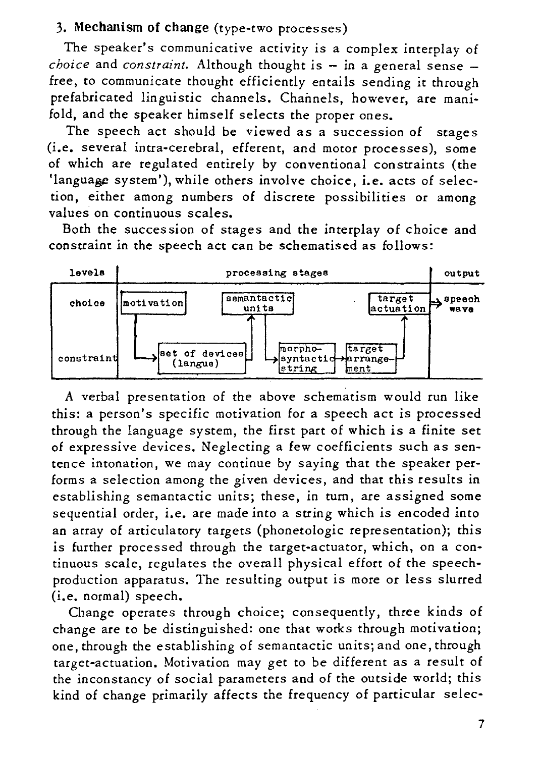## 3. Mechanism of change (type-two processes)

The speaker's communicative activity is a complex interplay of *choice* and *constraint*. Although thought is - in a general sense free, to communicate thought efficiently entails sending it through prefabricated linguistic channels. Channels, however, are manifold, and the speaker himself selects the proper ones.

The speech act should be viewed as a succession of stages (i.e. several intra-cerebral, efferent, and motor processes), some of which are regulated entirely by conventional constraints (the 'language system'), while others involve choice, i.e. acts of selection, either among numbers of discrete possibilities or among values on continuous scales.

Both the succession of stages and the interplay of choice and constraint in the speech act can be schematised as follows:



A verbal presentation of the above schematism would run like *this:* a person's specific motivation for a speech act is processed through the language system, the first part of which *is* a *finite* set of expressive devices. Neglecting a few *coefficients* such as sentence intonation, we may continue by saying that the speaker performs a selection among the given devices, and that this results in establishing semantactic units; these, in turn, are assigned some sequential order, i.e. are made into a string which is encoded into an array of articulatory targets (phonetologic representation); this is further processed through the target-actuator, which, on a continuous scale, regulates the overall physical effort of the speechproduction apparatus. The resulting output is more or less slurred (i.e. normal) speech.

Change operates through choice; consequently, three kinds of change are to be distinguished: one that works through motivation; one, through the establishing of semantactic units; and one, through target-actuation. Motivation may get to be different as a result of the inconstancy of social parameters and of the outside world; this kind of change primarily affects the frequency of particular selec-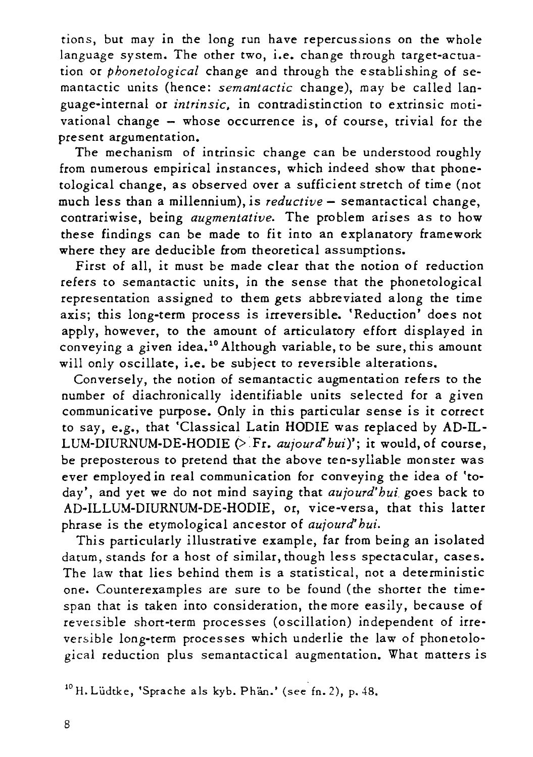tions, but may in the long run have repercussions on the whole language system. The other two, *i.e.* change through target-actuation or *phonetological* change and through the establishing of semantactic units (hence: *semantactic* change), may be called language-internal or *intrinsic,* in contradistinction to extrinsic motivational change - whose occurrence is, of course, trivial for the present argumentation.

The mechanism of intrinsic change can be understood roughly from numerous empirical instances, which indeed show that phonetological change, as observed over a sufficient stretch of time (not much less than a millennium), is *reductive* - semantactical change, contrariwise, being *augmentative.* The problem arises as to how these findings can be made to fit into an explanatory framework where they are deducible from theoretical assumptions.

First of all, *it* must be made clear that the notion of reduction refers to semantactic units, in the sense that the phonetological representation assigned to them gets abbreviated along the time axis; this long-term process *is* irreversible. 'Reduction' does not apply, however, to the amount of articulatory effort displayed in conveying a given idea.<sup>10</sup> Although variable, to be sure, this amount will only oscillate, i.e. be subject to reversible alterations.

Conversely, the notion of semantactic augmentation refers to the number of diachronically identifiable units selected for a given communicative purpose. Only in this particular sense is it correct to say, e.g., that 'Classical Latin HODIE was replaced by AD-IL-LUM-DIURNUM-DE-HODIE (> Fr. *aujourd' hui)';* it would, of course, be preposterous to pretend that the above ten-syllable monster was ever employed in real communication for conveying the idea of *'to*day', and yet we do not mind saying that *aujourd'hui* goes back to AD-ILLUM-DIURNUM-DE-HODIE, or, vice-versa, that this latter phrase is the etymological ancestor of *aujourd' hui.* 

This particularly illustrative example, far from being an isolated datum, stands for a host of similar, though less spectacular, cases. The law that lies behind them is a statistical, not a deterministic one. Counterexamples are sure to be found (the shorter the timespan that is taken into consideration, the more easily, because of reversible short-term processes (oscillation) independent of irreversible long-term processes which underlie the law of phonetological reduction plus semantactical augmentation. What matters *is* 

<sup>10</sup> H. Lüdtke, 'Sprache als kyb. Phän.' (see fn. 2), p. 48.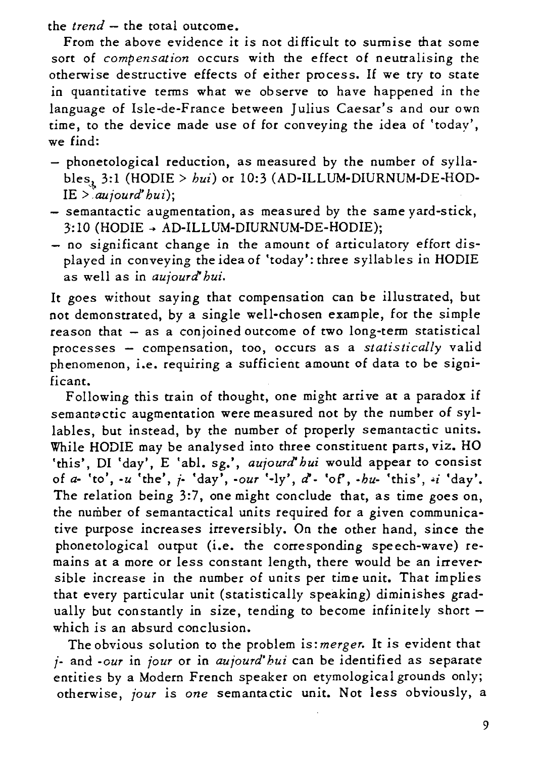the *trend* - the total outcome.

From the above evidence it is not difficult to surmise that some sort of *compensation* occurs with the effect of neutralising the otherwise destructive effects of either process. If we try to state in quantitative tenns what we observe to have happened in the language of lsle-de-France between Julius Caesar's and our own time, to the device made use of for conveying the idea of 'today', we find:

- phonetological reduction, as measured by the number of syllables,,, 3:1 (HODIE > *bui)* or 10:3 (AD-ILLUM-DIURNUM-DE-HODlE > *:aujourd' bui);*
- semantactic augmentation, as measured by the same yard-stick,  $3:10$  (HODIE  $\rightarrow$  AD-ILLUM-DIURNUM-DE-HODIE);
- no significant change in the amount of articulatory effort displayed in conveying the idea of 'today': three syllables in HODIE as well as in *aujourcl bui.*

It goes without saying that compensation can be illustrated, but not demonstrated, by a single well-chosen example, for the simple  $reason that - as a coincined outcome of two long-term statistical$ processes - compensation, too, occurs as a *statistically* valid phenomenon, i.e. requiring a sufficient amount of data to be significant.

Following this train of thought, one might arrive at a paradox if semantactic augmentation were measured not by the number of syllables, but instead, by the number of properly semantactic units. While HODIE may be analysed into three constituent parts, viz. HO 'this', DI 'day', E 'abl. sg.', *aujourd' bui* would appear to consist of *a*- 'to', *-u* 'the', *i*- 'day', *-our* '-ly', *d*' - 'of', *-bu*- 'this', *i* 'day'. The relation being 3:7, one might conclude that, as time goes on, the number of semantactical units required for a given communicative purpose increases irreversibly. On the other hand, since the phonetological output (i.e. the corresponding speech-wave) remains at a more or less constant length, there would be an irreversible increase in the number of units per time unit. That implies that every particular unit (statistically speaking) diminishes gradually but constantly in size, tending to become infinitely short which is an absurd conclusion.

The obvious solution to the problem is: *merger.* It is evident that *j-* and *-our* in *jour* or in *aujourd' hui* can be identified as separate entities by a Modern French speaker on etymological grounds only; otherwise, *jour* is *one* semantactic unit. Not less obviously, a

9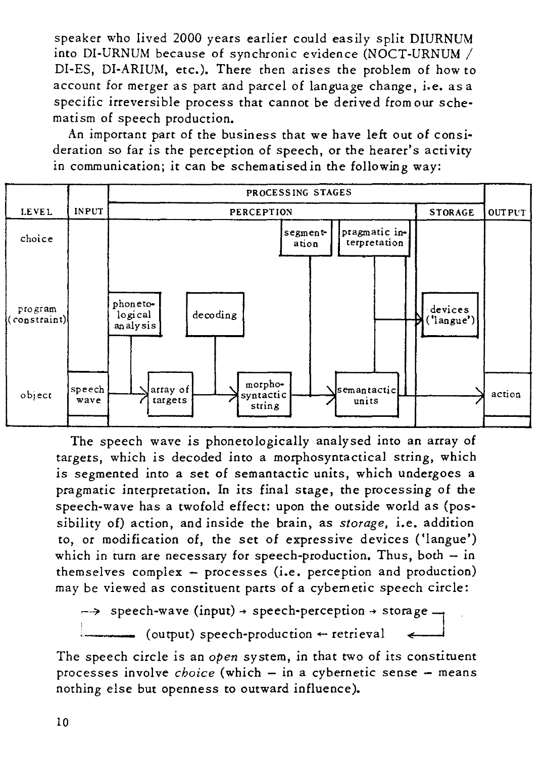speaker who lived 2000 years earlier could easily split DIURNUM into DI-URNUM because of synchronic evidence (NOCT-URNUM / DI-ES, DI-ARIUM, etc.). There then arises the problem of how to account for merger as part and parcel of language change, i.e. as a specific irreversible process that cannot be derived from our sche*matism* of speech production.

An important part of the business that we have left out of *consi*deration so far *is* the perception of speech, or the hearer's activity in communication; *it* can be schematised *in* the following way:



The speech wave *is* phonetologically analysed *into* an array of targets, which *is* decoded *into* a morphosyntactical string, which *is* segmented *into* a set of semantactic units, which undergoes a pragmatic interpretation. In *its* final stage, the processing of the speech-wave has a twofold effect: upon the outside world as (pos*sibility* of) action, and inside the brain, as *storage, i.e. addition*  to, or *modification* of, the set of expressive devices ('langue') which in turn are necessary for speech-production. Thus, both  $-$  in themselves complex - processes *(i.e.* perception and production) may be viewed as constituent parts of a cybernetic speech circle:

 $\rightarrow$  speech-wave (input)  $\rightarrow$  speech-perception  $\rightarrow$  storage  $\rightarrow$  $($ output) speech-production  $\leftarrow$  retrieval

The speech circle *is* an *open* system, in that two of *its* constituent processes involve *choice* (which - in a cybernetic sense - means nothing else but openness to outward influence).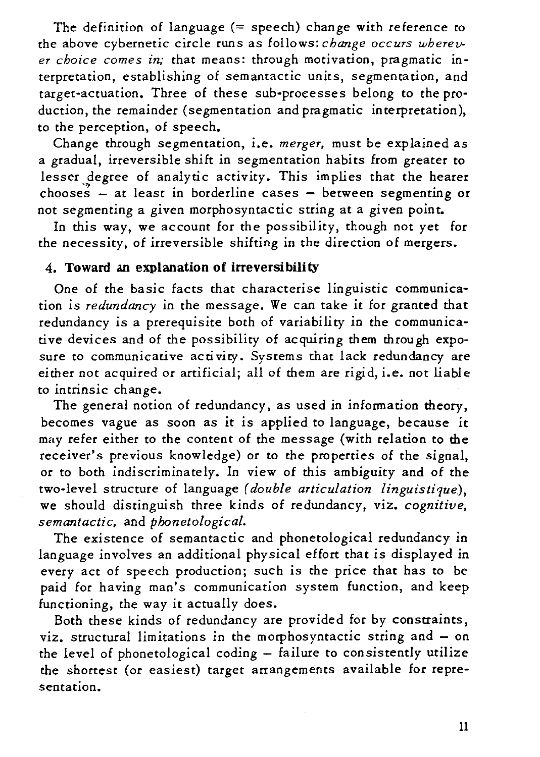The definition of language  $(=$  speech) change with reference to the above cybernetic circle runs as follows: *change occurs wherever choice comes in;* that means: through motivation, pragmatic interpretation, establishing of semantactic units, segmentation, and target-actuation. Three of these sub-processes belong to the production, the remainder (segmentation and pragmatic interpretation), to the perception, of speech.

Change through segmentation, i.e. *merger,* must be explained as a gradual, irreversible shift in segmentation habits from greater to lesser degree of analytic activity. This implies that the hearer chooses  $-$  at least in borderline cases  $-$  between segmenting or not segmenting a given morphosyntactic string at a given point.

In this way, we account for the possibility, though not yet for the necessity, of irreversible shifting in the direction of mergers.

## 4. **Toward an explanation of irreversibility**

One of the basic facts that characterise linguistic communica*tion is redundancy* in the message. We can take *it* for granted that redundancy is a prerequisite both of variability in the communicative devices and of the possibility of acquiring them through exposure to communicative activity. Systems that lack redundancy are either not acquired or artificial; all of them are rigid, i.e. not liable to intrinsic change.

The general notion of redundancy, as used in information theory, becomes vague as soon as it is applied to language, because it may refer either to the content of the message (with relation to the receiver's previous knowledge) or to the properties of the signal, or to both indiscriminately. In view of this ambiguity and of the two-level structure of language (double articulation linguistique), we should distinguish three kinds of redundancy, viz. *cognitive, semantactic,* and *phonetological.* 

The existence of semantactic and phonetological redundancy in language involves an additional physical effort that is displayed in every act of speech production; such is the price that has to be paid for having man's communication system function, and keep functioning, the way it actually does.

Both these kinds of redundancy are provided for by constraints, viz. structural limitations in the morphosyntactic string and - on the level of phonetological coding  $-$  failure to consistently utilize the shortest (or easiest) target arrangements available for representation.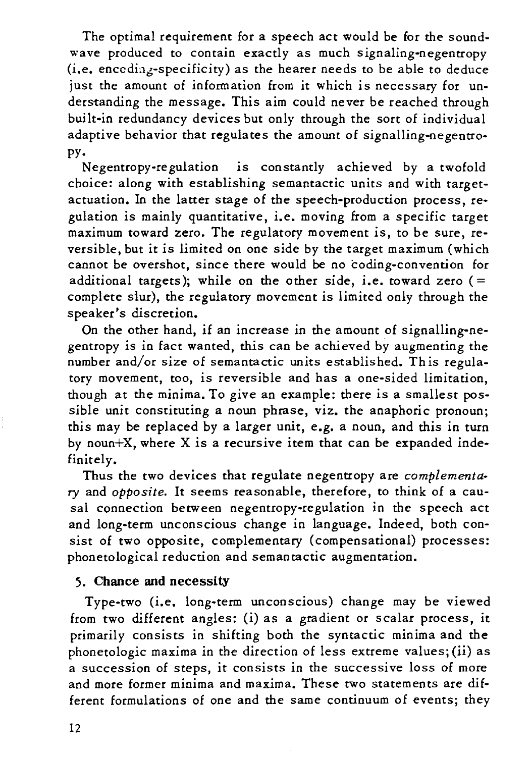The optimal requirement for a speech act would be for the soundwave produced to contain exactly as much signaling-negentropy (i.e. encoding-specificity) as the hearer needs to be able to deduce just the amount of information from it which is necessary for understanding the message. This aim could never be reached through built-in redundancy devices but only through the sort of individual adaptive behavior that regulates the amount of signalling-negentropy.

Negentropy-regulation *is* constantly achieved by a twofold choice: along with establishing semantactic units and with targetactuation. In the latter stage of the speech-production process, regulation *is* mainly quantitative, *i.e.* moving from a specific target maximum toward zero. The regulatory movement *is,* to be sure, reversible, but *it is* limited on one side by the target maximum (which cannot be overshot, since there would be no coding-convention for additional targets); while on the other side, i.e. toward zero  $(=$ complete slur), the regulatory movement *is* limited only through the speaker's discretion.

On the other hand, if an increase in the amount of signalling-negentropy *is* in fact wanted, this can be achieved by augmenting the number and/or *size* of semantactic units established. Th is regulatory movement, too, *is* reversible and has a one-sided limitation, though at the minima. To give an example: there *is* a smallest possible unit constituting a noun phrase, viz. the anaphoric pronoun; this may be replaced by a larger unit, e.g. a noun, and this in turn by noun+X, where X *is* a recursive *item* that can be expanded indefinitely.

Thus the two devices that regulate negentropy are *complementa*ry and *opposite.* It seems reasonable, therefore, to think of a causal connection between negentropy-regulation in the speech act and long-term unconscious change in language. Indeed, both con*sist* of two opposite, complementary (compensational) processes: phonetological reduction and semantactic augmentation.

### 5. Chance **and** necessity

Type-two (i.e. long-term unconscious) change may be viewed from two different angles: (i) as a gradient or scalar process, it primarily consists in shifting both the syntactic minima and the phonetologic maxima in the direction of less extreme values; *(ii)* as a succession of steps, *it* consists in the successive loss of more and more former minima and maxima. These two statements are different formulations of one and the same continuum of events; they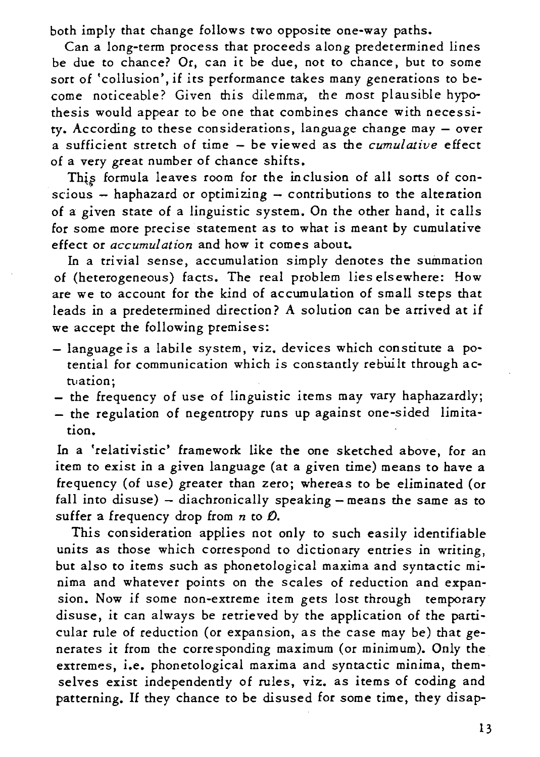both imply that change follows two opposite one-way paths.

Can a long-term process that proceeds along predetermined lines be due to chance? Or, can *it* be due, not to chance, but to some sort of 'collusion', *if its* performance takes many generations to become noticeable? Given this dilemma, the most plausible hypothesis would appear to be one that combines chance with necessity. According to these considerations, language change may - over a sufficient stretch of time - be viewed as the *cumulative* effect of a very great number of chance shifts.

This formula leaves room for the inclusion of all sorts of con*scious* - haphazard or optimizing - contributions to the alteration of a given state of a *linguistic* system. On the other hand, *it* calls for some more precise statement as to what *is* meant by cumulative effect or *accumulation* and how *it* comes about.

In a trivial sense, accumulation simply denotes the summation of (heterogeneous) facts. The real problem lies elsewhere: How are we to account for the kind of accumulation of small steps that leads in a predetermined direction? A solution can be arrived at *if*  we accept the following premises:

- language is a labile system, viz. devices which constitute a potential for communication which *is* constantly rebwlt through actuation;
- the frequency of use of linguistic items may vary haphazardly;
- the regulation of negentropy runs up against one-sided limitation.

In a 'relativistic' framework like the one sketched above, for an item to exist in a given language (at a given time) means to have a frequency (of use) greater than zero; whereas to be eliminated (or fall into disuse) - diachronically speaking - means the same as to suffer a frequency drop from *n* to *0,* 

This consideration applies not only to such easily identifiable units as those which correspond to dictionary entries in writing, but also to items such as phonetological maxima and syntactic *mi*nima and whatever points on the scales of reduction and expansion. Now if some non-extreme item gets lost through temporary disuse, *it* can always be retrieved by the application of the particular rule of reduction (or expansion, as the case may be) that generates *it* from the corresponding maximum (or minimum). Only the extremes, i.e. phonetological maxima and syntactic minima, themselves exist independently of rules, viz. as items of coding and patterning. If they chance to be disused for some time, they disap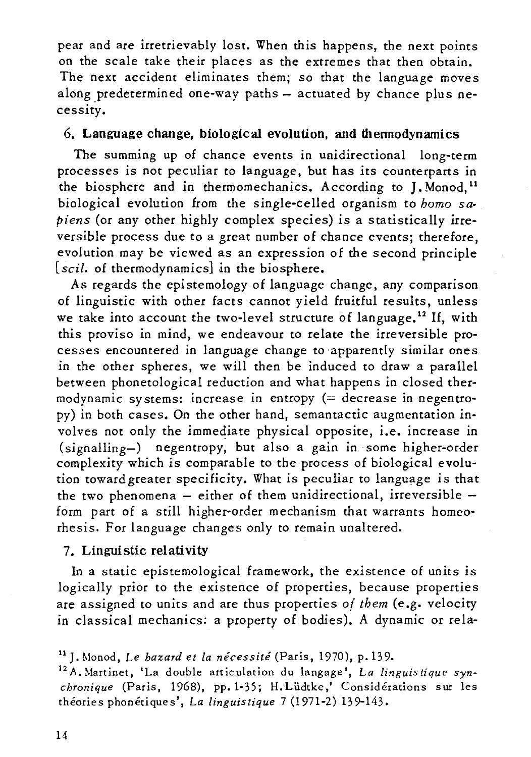pear and are irretrievably lost. When this happens, the next points on the scale take their places as the extremes that then obtain. The next accident eliminates them; so that the language moves along predetermined one-way paths  $-$  actuated by chance plus necessity.

## 6. Language change, biological evolution, and thennodynamics

The summing up of chance events in unidirectional long-term processes *is* not peculiar to language, but has *its* counterparts in the biosphere and in thermomechanics. According to J. Monod.<sup>11</sup> biological evolution from the single-celled organism to *homo sapiens* (or any other highly complex species) is a statistically irreversible process due to a great number of chance events; therefore, evolution may be viewed as an expression of the second principle [scil. of thermodynamics] in the biosphere.

As regards the epistemology of language change, any comparison of linguistic with other facts cannot yield fruitful results, unless we take into account the two-level structure of language.<sup>12</sup> If, with this proviso in mind, we endeavour to relate the irreversible processes encountered in language change to 'apparently similar ones in the other spheres, we will then be induced to draw a parallel between phonetological reduction and what happens in closed thermodynamic systems: increase in entropy (= decrease in negentropy) in both cases. On the other hand, semantactic augmentation involves not only the immediate physical opposite, i.e. increase in  $(signalling-)$  negentropy, but also a gain in some higher-order complexity which *is* comparable to the process of biological evolution toward greater specificity. What is peculiar to language is that the two phenomena  $-$  either of them unidirectional, irreversible  $$ form part of a still higher-order mechanism that warrants homeorhesis. For language changes only to remain unaltered.

## 7. Linguistic relativity

In a static epistemological framework, the existence of units is logically prior to the existence of properties, because properties are assigned to units and are thus properties *of them* (e.g. velocity in classical mechanics: a property of bodies). A dynamic or rela-

<sup>11</sup>J. Monod, Le *hazard* et *la necessite* (Paris, 1970), p.139.

<sup>12</sup> A. Martinet, 'La double articulation du langage', *La linguistique synchronique* (Paris, 1968), pp. 1-35; H.·Liidtke,' Considerations sur les theories phonetiques', *La linguistique* 7 (1971-2) 139-143.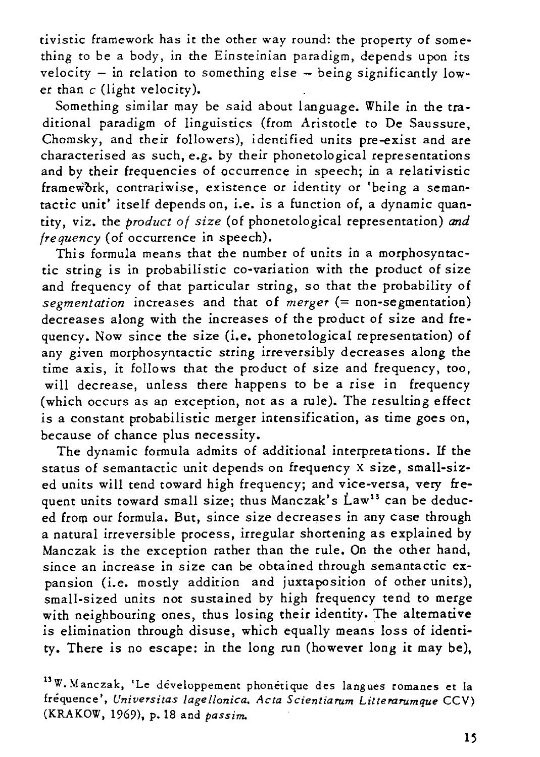*tivistic* framework has *it* the other way round: the property of something to be a body, in the Einsteinian paradigm, depends upon *its*  velocity  $-$  in relation to something else  $-$  being significantly lower than  $c$  (light velocity).

Something similar may be said about language. While in the traditional paradigm of linguistics (from Aristotle to De Saussure, Chomsky, and their followers), identified units pre-exist and are characterised as such, e.g. by their phonetological representations and by their frequencies of occurrence in speech; in a relativistic framework, contrariwise, existence or identity or 'being a semantactic unit' itself depends on, i.e. is a function of, a dynamic quantity, viz. the *product of size* (of phonetological representation) *and frequency* (of occurrence in speech).

This formula means that the number of units in a morphosyntac*tic* string is in probabilistic co-variation with the product of *size*  and frequency of that particular string, so that the probability of *segmentation* increases and that of *merger* (= non-segmentation) decreases along with the increases of the product of size and frequency. Now since the *size* (i.e. phonetological representation) of any given morphosyntactic string irreversibly decreases along the time axis, it follows that the product of size and frequency, too, will decrease, unless there happens to be a rise in frequency (which occurs as an exception, not as a rule). The resulting effect is a constant probabilistic merger intensification, as time goes on, because of chance plus necessity.

The dynamic formula admits of additional interpreta tions. If the status of semantactic unit depends on frequency X size, small-sized units will tend toward high frequency; and vice-versa, very frequent units toward small size; thus Manczak's Law<sup>13</sup> can be deduced from our formula. But, since size decreases in any case through a natural irreversible process, irregular shortening as explained by Manczak *is* the exception rather than the rule. On the other hand, since an increase in size can be obtained through semantactic expansion (i.e. mostly addition and juxtaposition of other *units),*  small-sized units not sustained by high frequency tend to merge with neighbouring ones, thus losing their identity. The alternative *is* elimination through disuse, which equally means loss of identity. There is no escape: in the long run (however long it may be),

<sup>13</sup>W. Manczak, 'Le développement phonétique des langues romanes et la frequence', *Universitas lagellonica. Acta Scientiarum Litterarumque* CCV) (KRAKOW, 1969), p.1S and *passim.*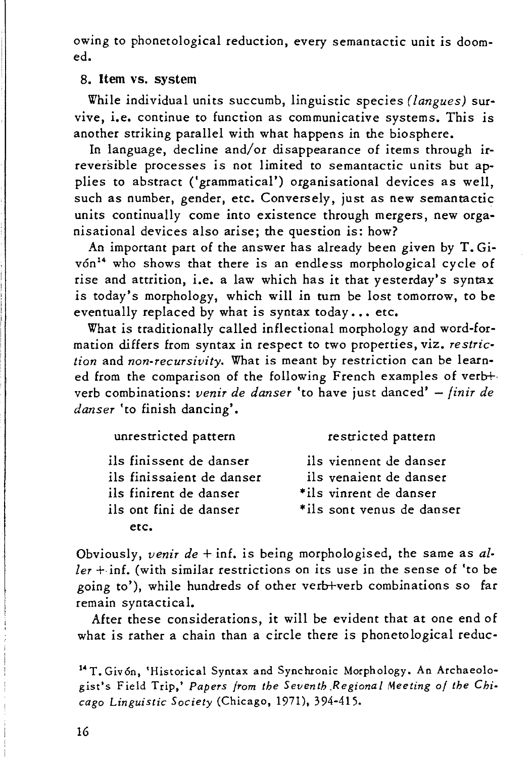owing to phonetological reduction, every semantactic unit is doomed.

#### 8. **Item** vs. system

While individual units succumb, linguistic species *(langues)* survive, i.e. continue to function as communicative systems. This is another striking parallel with what happens in the biosphere.

In language, decline and/or disappearance of items through *ir*reversible processes is not limited to semantactic units but applies to abstract ('grammatical') organisational devices as well, such as number, gender, etc. Conversely, just as new semantactic units continually come into existence through mergers, new organisational devices also arise; the question is: how?

An important part of the answer has already been given by T. Givón<sup>14</sup> who shows that there is an endless morphological cycle of rise and attrition, i.e. a law which has *it* that yesterday's syntax is today's morphology, which will in turn be lost tomorrow, to be eventually replaced by what is syntax today ... etc.

What is traditionally called inflectional morphology and word-formation differs from syntax in respect to two properties, *viz. restriction* and *non-recursivity.* What is meant by restriction can be learned from the comparison of the following French examples of verb+· verb combinations: *venir de danser* 'to have just danced' - *finir de danser* 'to finish dancing'.

| unrestricted pattern      | restricted pattern        |
|---------------------------|---------------------------|
| ils finissent de danser   | ils viennent de danser    |
| ils finissaient de danser | ils venaient de danser    |
| ils finirent de danser    | *ils vinrent de danser    |
| ils ont fini de danser    | *ils sont venus de danser |
| etc.                      |                           |

Obviously, *venir de* + inf, is being morphologised, the same as *al* $ler + inf.$  (with similar restrictions on its use in the sense of 'to be going to'), while hundreds of other verb+verb combinations so far remain syntactical.

After these considerations, it will be evident that at one end of what is rather a chain than a circle there is phonetological reduc-

<sup>14</sup> T. Givón, 'Historical Syntax and Synchronic Morphology. An Archaeologist's Field Trip,' *Papers from the Seventh .Regional Meeting of the Chicago Linguistic Society* (Chicago, 1971), 394-415.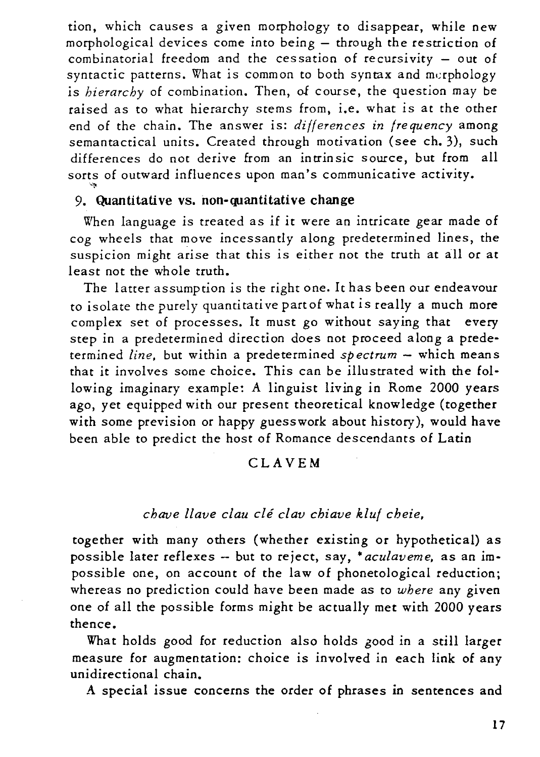tion, which causes a given morphology to disappear, while new morphological devices come into being  $-$  through the restriction of combinatorial freedom and the cessation of recursivity - out of syntactic patterns. What is common to both syntax and mcrphology is *hierarchy* of combination. Then, of course, the question may be raised as to what hierarchy stems from, i.e. what *is* at the other end of the chain. The answer is: *differences in frequency* among semantactical units. Created through motivation (see ch. 3), such differences do not derive from an intrinsic source, but from all sorts of outward influences upon man's communicative activity.

## 9. Quantitative vs. non-quantitative change

When language *is* treated as *if* it were an *intricate* gear made of cog wheels that move incessantly along predetermined lines, the suspicion might arise that this is either not the truth at all or at least not the whole truth.

The latter assumption is the right one. It has been our endeavour to isolate the purely quantitative partof what *is* really a much more complex set of processes. It must go without saying that every step in a predetermined direction does not proceed along a predetermined *line*, but within a predetermined *spectrum* - which means that it involves some choice. This can be illustrated with the following imaginary example: A linguist living in Rome 2000 years ago, yet equipped with our present theoretical knowledge (together with some prevision or happy guesswork about history), would have been able to predict the host of Romance descendants of Latin

#### CLAVEM

### *chave llave clau cle clav chiave kluf cheie,*

together with many others (whether existing or hypothetical) as possible later reflexes - but to reject, say, • *aculavem* e, as an *im*possible one, on account of the law of phonetological reduction; whereas no prediction could have been made as to *where* any given one of all the possible forms might be actually met with 2000 years thence.

What holds good for reduction also holds good in a still larger measure for augmentation: choice is involved in each link of any unidirectional chain.

A special issue concerns the order of phrases in sentences and